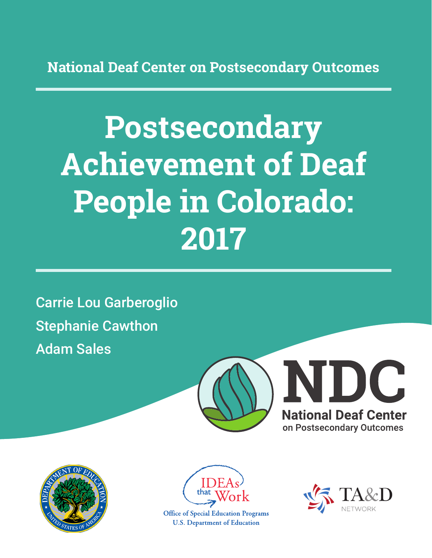**National Deaf Center on Postsecondary Outcomes**

# **Postsecondary Achievement of Deaf People in Colorado: 2017**

Carrie Lou Garberoglio Stephanie Cawthon Adam Sales







**Office of Special Education Programs U.S. Department of Education** 

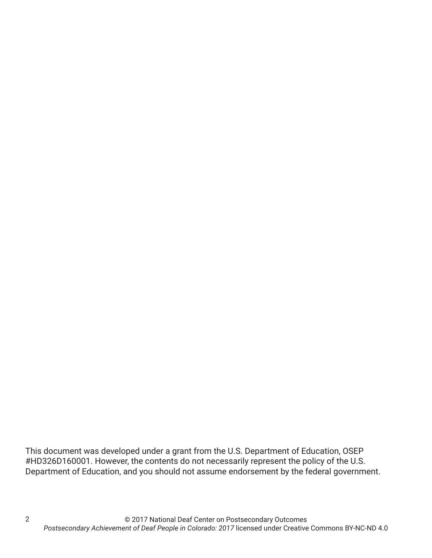This document was developed under a grant from the U.S. Department of Education, OSEP #HD326D160001. However, the contents do not necessarily represent the policy of the U.S. Department of Education, and you should not assume endorsement by the federal government.

2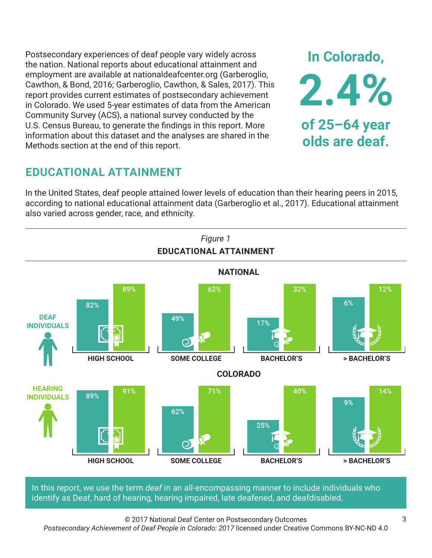Postsecondary experiences of deaf people vary widely across the nation. National reports about educational attainment and employment are available at nationaldeafcenter.org (Garberoglio, Cawthon, & Bond, 2016; Garberoglio, Cawthon, & Sales, 2017). This report provides current estimates of postsecondary achievement in Colorado. We used 5-year estimates of data from the American Community Survey (ACS), a national survey conducted by the U.S. Census Bureau, to generate the findings in this report. More information about this dataset and the analyses are shared in the Methods section at the end of this report.

# **EDUCATIONAL ATTAINMENT**

In the United States, deaf people attained lower levels of education than their hearing peers in 2015, according to national educational attainment data (Garberoglio et al., 2017). Educational attainment also varied across gender, race, and ethnicity.



In this report, we use the term *deaf* in an all-encompassing manner to include individuals who identify as Deaf, hard of hearing, hearing impaired, late deafened, and deafdisabled.

© 2017 National Deaf Center on Postsecondary Outcomes

*Postsecondary Achievement of Deaf People in Colorado: 2017* licensed under Creative Commons BY-NC-ND 4.0

**In Colorado,**

**2.4%**

**of 25–64 year**

**olds are deaf.**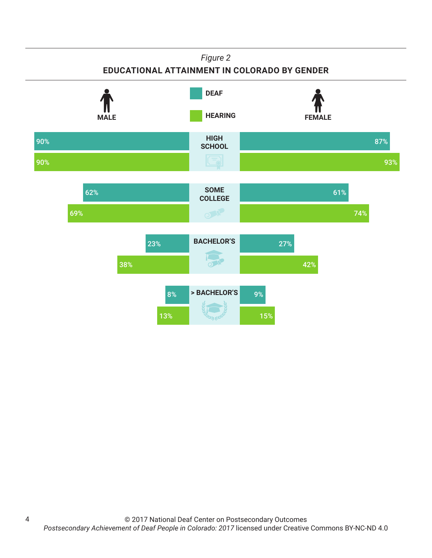#### *Figure 2*

#### **EDUCATIONAL ATTAINMENT IN COLORADO BY GENDER**



4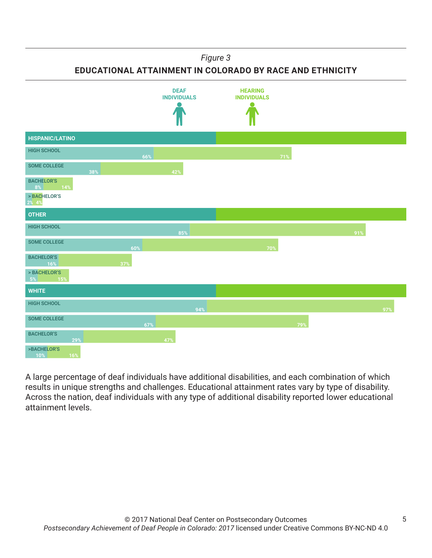*Figure 3*

**EDUCATIONAL ATTAINMENT IN COLORADO BY RACE AND ETHNICITY**



A large percentage of deaf individuals have additional disabilities, and each combination of which results in unique strengths and challenges. Educational attainment rates vary by type of disability. Across the nation, deaf individuals with any type of additional disability reported lower educational attainment levels.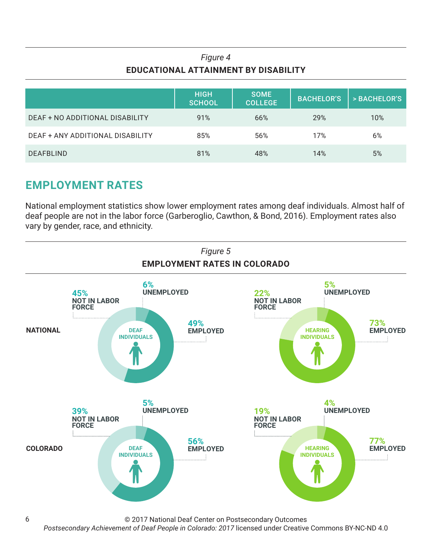## *Figure 4* **EDUCATIONAL ATTAINMENT BY DISABILITY**

|                                  | <b>HIGH</b><br><b>SCHOOL</b> | <b>SOME</b><br><b>COLLEGE</b> | <b>BACHELOR'S</b> | > BACHELOR'S |
|----------------------------------|------------------------------|-------------------------------|-------------------|--------------|
| DEAF + NO ADDITIONAL DISABILITY  | 91%                          | 66%                           | 29%               | 10%          |
| DEAF + ANY ADDITIONAL DISABILITY | 85%                          | 56%                           | 17%               | 6%           |
| <b>DEAFBLIND</b>                 | 81%                          | 48%                           | 14%               | 5%           |

# **EMPLOYMENT RATES**

6

National employment statistics show lower employment rates among deaf individuals. Almost half of deaf people are not in the labor force (Garberoglio, Cawthon, & Bond, 2016). Employment rates also vary by gender, race, and ethnicity.



© 2017 National Deaf Center on Postsecondary Outcomes

*Postsecondary Achievement of Deaf People in Colorado: 2017* licensed under Creative Commons BY-NC-ND 4.0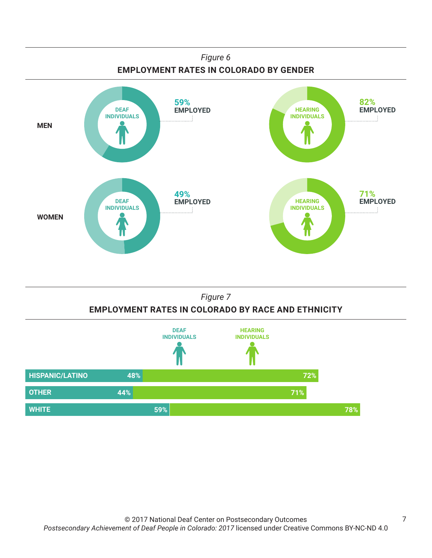

#### *Figure 7* **EMPLOYMENT RATES IN COLORADO BY RACE AND ETHNICITY**

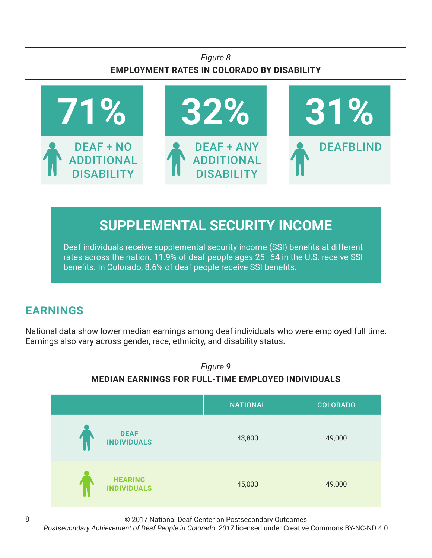## *Figure 8* **EMPLOYMENT RATES IN COLORADO BY DISABILITY**



# **SUPPLEMENTAL SECURITY INCOME**

Deaf individuals receive supplemental security income (SSI) benefits at different rates across the nation. 11.9% of deaf people ages 25–64 in the U.S. receive SSI benefits. In Colorado, 8.6% of deaf people receive SSI benefits.

# **EARNINGS**

National data show lower median earnings among deaf individuals who were employed full time. Earnings also vary across gender, race, ethnicity, and disability status.



© 2017 National Deaf Center on Postsecondary Outcomes

*Postsecondary Achievement of Deaf People in Colorado: 2017* licensed under Creative Commons BY-NC-ND 4.0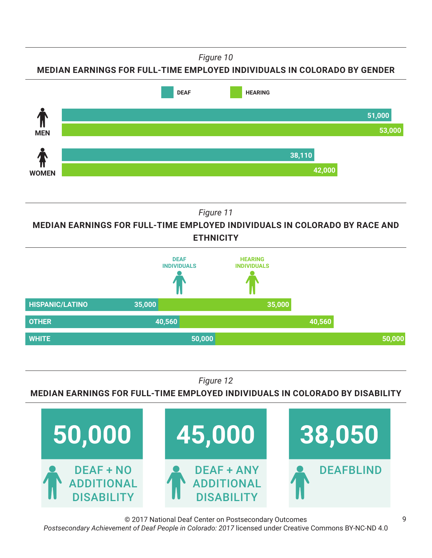*Figure 10*

**MEDIAN EARNINGS FOR FULL-TIME EMPLOYED INDIVIDUALS IN COLORADO BY GENDER**



*Figure 11*

**MEDIAN EARNINGS FOR FULL-TIME EMPLOYED INDIVIDUALS IN COLORADO BY RACE AND ETHNICITY**



*Figure 12*

**MEDIAN EARNINGS FOR FULL-TIME EMPLOYED INDIVIDUALS IN COLORADO BY DISABILITY**



© 2017 National Deaf Center on Postsecondary Outcomes *Postsecondary Achievement of Deaf People in Colorado: 2017* licensed under Creative Commons BY-NC-ND 4.0